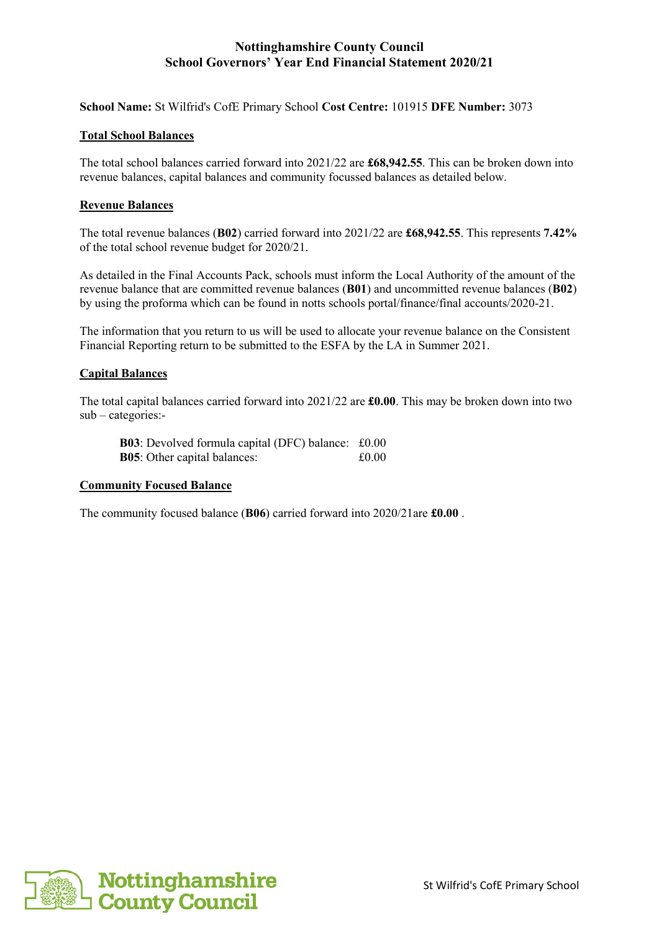## **Nottinghamshire County Council School Governors' Year End Financial Statement 2020/21**

**School Name:** St Wilfrid's CofE Primary School **Cost Centre:** 101915 **DFE Number:** 3073

### **Total School Balances**

The total school balances carried forward into 2021/22 are **£68,942.55**. This can be broken down into revenue balances, capital balances and community focussed balances as detailed below.

### **Revenue Balances**

The total revenue balances (**B02**) carried forward into 2021/22 are **£68,942.55**. This represents **7.42%** of the total school revenue budget for 2020/21.

As detailed in the Final Accounts Pack, schools must inform the Local Authority of the amount of the revenue balance that are committed revenue balances (**B01**) and uncommitted revenue balances (**B02**) by using the proforma which can be found in notts schools portal/finance/final accounts/2020-21.

The information that you return to us will be used to allocate your revenue balance on the Consistent Financial Reporting return to be submitted to the ESFA by the LA in Summer 2021.

### **Capital Balances**

The total capital balances carried forward into 2021/22 are **£0.00**. This may be broken down into two sub – categories:-

**B03**: Devolved formula capital (DFC) balance: £0.00 **B05**: Other capital balances:  $\text{\pounds}0.00$ 

#### **Community Focused Balance**

The community focused balance (**B06**) carried forward into 2020/21are **£0.00** .

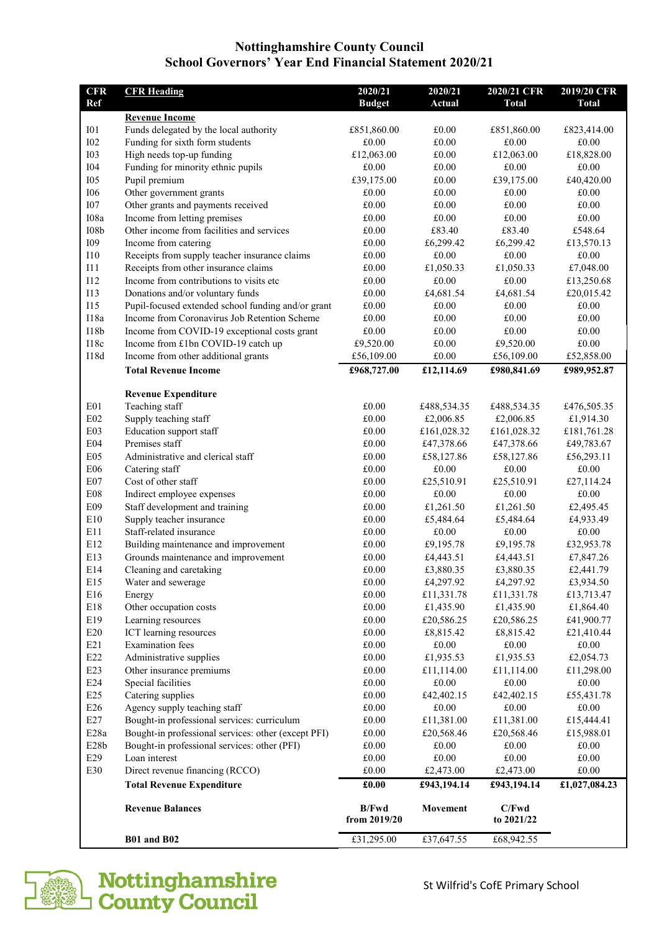## **Nottinghamshire County Council School Governors' Year End Financial Statement 2020/21**

| Ref<br><b>Budget</b><br><b>Actual</b><br><b>Total</b><br><b>Revenue Income</b><br>Funds delegated by the local authority<br>I01<br>£851,860.00<br>£0.00<br>£851,860.00<br><b>I02</b><br>Funding for sixth form students<br>£0.00<br>£0.00<br>£0.00<br><b>I03</b><br>High needs top-up funding<br>£0.00<br>£12,063.00<br>£12,063.00<br><b>I04</b><br>Funding for minority ethnic pupils<br>£0.00<br>£0.00<br>£0.00<br><b>I05</b><br>Pupil premium<br>£39,175.00<br>£0.00<br>£39,175.00<br>Other government grants<br><b>I06</b><br>£0.00<br>£0.00<br>£0.00<br><b>I07</b><br>Other grants and payments received<br>£0.00<br>£0.00<br>£0.00<br>Income from letting premises<br>I08a<br>$\pounds0.00$<br>£0.00<br>£0.00<br>108 <sub>b</sub><br>Other income from facilities and services<br>£83.40<br>£0.00<br>£83.40<br><b>I09</b><br>Income from catering<br>£0.00<br>£6,299.42<br>£6,299.42<br>Receipts from supply teacher insurance claims<br>£0.00<br>110<br>£0.00<br>£0.00<br>Receipts from other insurance claims<br>111<br>£0.00<br>£1,050.33<br>£1,050.33<br>I12<br>Income from contributions to visits etc.<br>£0.00<br>£0.00<br>£0.00<br><b>I13</b><br>Donations and/or voluntary funds<br>£4,681.54<br>£0.00<br>£4,681.54<br><b>I15</b><br>Pupil-focused extended school funding and/or grant<br>£0.00<br>£0.00<br>£0.00<br>I18a<br>Income from Coronavirus Job Retention Scheme<br>£0.00<br>£0.00<br>£0.00<br>I18b<br>Income from COVID-19 exceptional costs grant<br>$\pounds0.00$<br>£0.00<br>£0.00<br>I18c<br>Income from £1bn COVID-19 catch up<br>£0.00<br>£9,520.00<br>£9,520.00<br><b>I18d</b><br>$\pounds0.00$<br>Income from other additional grants<br>£56,109.00<br>£56,109.00<br><b>Total Revenue Income</b><br>£968,727.00<br>£12,114.69<br>£980,841.69<br><b>Revenue Expenditure</b><br>Teaching staff<br>£0.00<br>E <sub>01</sub><br>£488,534.35<br>£488,534.35<br>Supply teaching staff<br>E02<br>£0.00<br>£2,006.85<br>£2,006.85<br>E03<br>Education support staff<br>£0.00<br>£161,028.32<br>£161,028.32 | <b>Total</b>        |
|--------------------------------------------------------------------------------------------------------------------------------------------------------------------------------------------------------------------------------------------------------------------------------------------------------------------------------------------------------------------------------------------------------------------------------------------------------------------------------------------------------------------------------------------------------------------------------------------------------------------------------------------------------------------------------------------------------------------------------------------------------------------------------------------------------------------------------------------------------------------------------------------------------------------------------------------------------------------------------------------------------------------------------------------------------------------------------------------------------------------------------------------------------------------------------------------------------------------------------------------------------------------------------------------------------------------------------------------------------------------------------------------------------------------------------------------------------------------------------------------------------------------------------------------------------------------------------------------------------------------------------------------------------------------------------------------------------------------------------------------------------------------------------------------------------------------------------------------------------------------------------------------------------------------------------------------------------------------------------------------------------------------------------------|---------------------|
|                                                                                                                                                                                                                                                                                                                                                                                                                                                                                                                                                                                                                                                                                                                                                                                                                                                                                                                                                                                                                                                                                                                                                                                                                                                                                                                                                                                                                                                                                                                                                                                                                                                                                                                                                                                                                                                                                                                                                                                                                                      |                     |
|                                                                                                                                                                                                                                                                                                                                                                                                                                                                                                                                                                                                                                                                                                                                                                                                                                                                                                                                                                                                                                                                                                                                                                                                                                                                                                                                                                                                                                                                                                                                                                                                                                                                                                                                                                                                                                                                                                                                                                                                                                      |                     |
|                                                                                                                                                                                                                                                                                                                                                                                                                                                                                                                                                                                                                                                                                                                                                                                                                                                                                                                                                                                                                                                                                                                                                                                                                                                                                                                                                                                                                                                                                                                                                                                                                                                                                                                                                                                                                                                                                                                                                                                                                                      | £823,414.00         |
|                                                                                                                                                                                                                                                                                                                                                                                                                                                                                                                                                                                                                                                                                                                                                                                                                                                                                                                                                                                                                                                                                                                                                                                                                                                                                                                                                                                                                                                                                                                                                                                                                                                                                                                                                                                                                                                                                                                                                                                                                                      | £0.00               |
|                                                                                                                                                                                                                                                                                                                                                                                                                                                                                                                                                                                                                                                                                                                                                                                                                                                                                                                                                                                                                                                                                                                                                                                                                                                                                                                                                                                                                                                                                                                                                                                                                                                                                                                                                                                                                                                                                                                                                                                                                                      | £18,828.00          |
|                                                                                                                                                                                                                                                                                                                                                                                                                                                                                                                                                                                                                                                                                                                                                                                                                                                                                                                                                                                                                                                                                                                                                                                                                                                                                                                                                                                                                                                                                                                                                                                                                                                                                                                                                                                                                                                                                                                                                                                                                                      | £0.00               |
|                                                                                                                                                                                                                                                                                                                                                                                                                                                                                                                                                                                                                                                                                                                                                                                                                                                                                                                                                                                                                                                                                                                                                                                                                                                                                                                                                                                                                                                                                                                                                                                                                                                                                                                                                                                                                                                                                                                                                                                                                                      | £40,420.00          |
|                                                                                                                                                                                                                                                                                                                                                                                                                                                                                                                                                                                                                                                                                                                                                                                                                                                                                                                                                                                                                                                                                                                                                                                                                                                                                                                                                                                                                                                                                                                                                                                                                                                                                                                                                                                                                                                                                                                                                                                                                                      | £0.00               |
|                                                                                                                                                                                                                                                                                                                                                                                                                                                                                                                                                                                                                                                                                                                                                                                                                                                                                                                                                                                                                                                                                                                                                                                                                                                                                                                                                                                                                                                                                                                                                                                                                                                                                                                                                                                                                                                                                                                                                                                                                                      | £0.00               |
|                                                                                                                                                                                                                                                                                                                                                                                                                                                                                                                                                                                                                                                                                                                                                                                                                                                                                                                                                                                                                                                                                                                                                                                                                                                                                                                                                                                                                                                                                                                                                                                                                                                                                                                                                                                                                                                                                                                                                                                                                                      | £0.00               |
|                                                                                                                                                                                                                                                                                                                                                                                                                                                                                                                                                                                                                                                                                                                                                                                                                                                                                                                                                                                                                                                                                                                                                                                                                                                                                                                                                                                                                                                                                                                                                                                                                                                                                                                                                                                                                                                                                                                                                                                                                                      | £548.64             |
|                                                                                                                                                                                                                                                                                                                                                                                                                                                                                                                                                                                                                                                                                                                                                                                                                                                                                                                                                                                                                                                                                                                                                                                                                                                                                                                                                                                                                                                                                                                                                                                                                                                                                                                                                                                                                                                                                                                                                                                                                                      | £13,570.13          |
|                                                                                                                                                                                                                                                                                                                                                                                                                                                                                                                                                                                                                                                                                                                                                                                                                                                                                                                                                                                                                                                                                                                                                                                                                                                                                                                                                                                                                                                                                                                                                                                                                                                                                                                                                                                                                                                                                                                                                                                                                                      | £0.00               |
|                                                                                                                                                                                                                                                                                                                                                                                                                                                                                                                                                                                                                                                                                                                                                                                                                                                                                                                                                                                                                                                                                                                                                                                                                                                                                                                                                                                                                                                                                                                                                                                                                                                                                                                                                                                                                                                                                                                                                                                                                                      | £7,048.00           |
|                                                                                                                                                                                                                                                                                                                                                                                                                                                                                                                                                                                                                                                                                                                                                                                                                                                                                                                                                                                                                                                                                                                                                                                                                                                                                                                                                                                                                                                                                                                                                                                                                                                                                                                                                                                                                                                                                                                                                                                                                                      | £13,250.68          |
|                                                                                                                                                                                                                                                                                                                                                                                                                                                                                                                                                                                                                                                                                                                                                                                                                                                                                                                                                                                                                                                                                                                                                                                                                                                                                                                                                                                                                                                                                                                                                                                                                                                                                                                                                                                                                                                                                                                                                                                                                                      | £20,015.42          |
|                                                                                                                                                                                                                                                                                                                                                                                                                                                                                                                                                                                                                                                                                                                                                                                                                                                                                                                                                                                                                                                                                                                                                                                                                                                                                                                                                                                                                                                                                                                                                                                                                                                                                                                                                                                                                                                                                                                                                                                                                                      | £0.00               |
|                                                                                                                                                                                                                                                                                                                                                                                                                                                                                                                                                                                                                                                                                                                                                                                                                                                                                                                                                                                                                                                                                                                                                                                                                                                                                                                                                                                                                                                                                                                                                                                                                                                                                                                                                                                                                                                                                                                                                                                                                                      | £0.00               |
|                                                                                                                                                                                                                                                                                                                                                                                                                                                                                                                                                                                                                                                                                                                                                                                                                                                                                                                                                                                                                                                                                                                                                                                                                                                                                                                                                                                                                                                                                                                                                                                                                                                                                                                                                                                                                                                                                                                                                                                                                                      | £0.00               |
|                                                                                                                                                                                                                                                                                                                                                                                                                                                                                                                                                                                                                                                                                                                                                                                                                                                                                                                                                                                                                                                                                                                                                                                                                                                                                                                                                                                                                                                                                                                                                                                                                                                                                                                                                                                                                                                                                                                                                                                                                                      | £0.00<br>£52,858.00 |
|                                                                                                                                                                                                                                                                                                                                                                                                                                                                                                                                                                                                                                                                                                                                                                                                                                                                                                                                                                                                                                                                                                                                                                                                                                                                                                                                                                                                                                                                                                                                                                                                                                                                                                                                                                                                                                                                                                                                                                                                                                      |                     |
|                                                                                                                                                                                                                                                                                                                                                                                                                                                                                                                                                                                                                                                                                                                                                                                                                                                                                                                                                                                                                                                                                                                                                                                                                                                                                                                                                                                                                                                                                                                                                                                                                                                                                                                                                                                                                                                                                                                                                                                                                                      | £989,952.87         |
|                                                                                                                                                                                                                                                                                                                                                                                                                                                                                                                                                                                                                                                                                                                                                                                                                                                                                                                                                                                                                                                                                                                                                                                                                                                                                                                                                                                                                                                                                                                                                                                                                                                                                                                                                                                                                                                                                                                                                                                                                                      |                     |
|                                                                                                                                                                                                                                                                                                                                                                                                                                                                                                                                                                                                                                                                                                                                                                                                                                                                                                                                                                                                                                                                                                                                                                                                                                                                                                                                                                                                                                                                                                                                                                                                                                                                                                                                                                                                                                                                                                                                                                                                                                      | £476,505.35         |
|                                                                                                                                                                                                                                                                                                                                                                                                                                                                                                                                                                                                                                                                                                                                                                                                                                                                                                                                                                                                                                                                                                                                                                                                                                                                                                                                                                                                                                                                                                                                                                                                                                                                                                                                                                                                                                                                                                                                                                                                                                      | £1,914.30           |
|                                                                                                                                                                                                                                                                                                                                                                                                                                                                                                                                                                                                                                                                                                                                                                                                                                                                                                                                                                                                                                                                                                                                                                                                                                                                                                                                                                                                                                                                                                                                                                                                                                                                                                                                                                                                                                                                                                                                                                                                                                      | £181,761.28         |
| E04<br>Premises staff<br>£0.00<br>£47,378.66<br>£47,378.66                                                                                                                                                                                                                                                                                                                                                                                                                                                                                                                                                                                                                                                                                                                                                                                                                                                                                                                                                                                                                                                                                                                                                                                                                                                                                                                                                                                                                                                                                                                                                                                                                                                                                                                                                                                                                                                                                                                                                                           | £49,783.67          |
| E05<br>Administrative and clerical staff<br>£0.00<br>£58,127.86<br>£58,127.86                                                                                                                                                                                                                                                                                                                                                                                                                                                                                                                                                                                                                                                                                                                                                                                                                                                                                                                                                                                                                                                                                                                                                                                                                                                                                                                                                                                                                                                                                                                                                                                                                                                                                                                                                                                                                                                                                                                                                        | £56,293.11          |
| <b>E06</b><br>Catering staff<br>£0.00<br>£0.00<br>£0.00                                                                                                                                                                                                                                                                                                                                                                                                                                                                                                                                                                                                                                                                                                                                                                                                                                                                                                                                                                                                                                                                                                                                                                                                                                                                                                                                                                                                                                                                                                                                                                                                                                                                                                                                                                                                                                                                                                                                                                              | £0.00               |
| E07<br>Cost of other staff<br>£0.00<br>£25,510.91<br>£25,510.91                                                                                                                                                                                                                                                                                                                                                                                                                                                                                                                                                                                                                                                                                                                                                                                                                                                                                                                                                                                                                                                                                                                                                                                                                                                                                                                                                                                                                                                                                                                                                                                                                                                                                                                                                                                                                                                                                                                                                                      | £27,114.24          |
| ${\rm E08}$<br>Indirect employee expenses<br>£0.00<br>£0.00<br>£0.00                                                                                                                                                                                                                                                                                                                                                                                                                                                                                                                                                                                                                                                                                                                                                                                                                                                                                                                                                                                                                                                                                                                                                                                                                                                                                                                                                                                                                                                                                                                                                                                                                                                                                                                                                                                                                                                                                                                                                                 | £0.00               |
| E09<br>Staff development and training<br>£0.00<br>£1,261.50<br>£1,261.50                                                                                                                                                                                                                                                                                                                                                                                                                                                                                                                                                                                                                                                                                                                                                                                                                                                                                                                                                                                                                                                                                                                                                                                                                                                                                                                                                                                                                                                                                                                                                                                                                                                                                                                                                                                                                                                                                                                                                             | £2,495.45           |
| E10<br>Supply teacher insurance<br>£0.00<br>£5,484.64<br>£5,484.64                                                                                                                                                                                                                                                                                                                                                                                                                                                                                                                                                                                                                                                                                                                                                                                                                                                                                                                                                                                                                                                                                                                                                                                                                                                                                                                                                                                                                                                                                                                                                                                                                                                                                                                                                                                                                                                                                                                                                                   | £4,933.49           |
| E11<br>Staff-related insurance<br>£0.00<br>£0.00<br>£0.00                                                                                                                                                                                                                                                                                                                                                                                                                                                                                                                                                                                                                                                                                                                                                                                                                                                                                                                                                                                                                                                                                                                                                                                                                                                                                                                                                                                                                                                                                                                                                                                                                                                                                                                                                                                                                                                                                                                                                                            | £0.00               |
| E12<br>Building maintenance and improvement<br>£0.00<br>£9,195.78<br>£9,195.78                                                                                                                                                                                                                                                                                                                                                                                                                                                                                                                                                                                                                                                                                                                                                                                                                                                                                                                                                                                                                                                                                                                                                                                                                                                                                                                                                                                                                                                                                                                                                                                                                                                                                                                                                                                                                                                                                                                                                       | £32,953.78          |
| E13<br>Grounds maintenance and improvement<br>£0.00<br>£4,443.51<br>£4,443.51                                                                                                                                                                                                                                                                                                                                                                                                                                                                                                                                                                                                                                                                                                                                                                                                                                                                                                                                                                                                                                                                                                                                                                                                                                                                                                                                                                                                                                                                                                                                                                                                                                                                                                                                                                                                                                                                                                                                                        | £7,847.26           |
| E14<br>Cleaning and caretaking<br>£0.00<br>£3,880.35<br>£3,880.35                                                                                                                                                                                                                                                                                                                                                                                                                                                                                                                                                                                                                                                                                                                                                                                                                                                                                                                                                                                                                                                                                                                                                                                                                                                                                                                                                                                                                                                                                                                                                                                                                                                                                                                                                                                                                                                                                                                                                                    | £2,441.79           |
| E15<br>$\pounds0.00$<br>£4,297.92<br>Water and sewerage<br>£4,297.92                                                                                                                                                                                                                                                                                                                                                                                                                                                                                                                                                                                                                                                                                                                                                                                                                                                                                                                                                                                                                                                                                                                                                                                                                                                                                                                                                                                                                                                                                                                                                                                                                                                                                                                                                                                                                                                                                                                                                                 | £3,934.50           |
| E16<br>£0.00<br>£11,331.78<br>£11,331.78<br>Energy                                                                                                                                                                                                                                                                                                                                                                                                                                                                                                                                                                                                                                                                                                                                                                                                                                                                                                                                                                                                                                                                                                                                                                                                                                                                                                                                                                                                                                                                                                                                                                                                                                                                                                                                                                                                                                                                                                                                                                                   | £13,713.47          |
| E18<br>Other occupation costs<br>$\pounds0.00$<br>£1,435.90<br>£1,435.90                                                                                                                                                                                                                                                                                                                                                                                                                                                                                                                                                                                                                                                                                                                                                                                                                                                                                                                                                                                                                                                                                                                                                                                                                                                                                                                                                                                                                                                                                                                                                                                                                                                                                                                                                                                                                                                                                                                                                             | £1,864.40           |
| E19<br>$\pounds0.00$<br>Learning resources<br>£20,586.25<br>£20,586.25                                                                                                                                                                                                                                                                                                                                                                                                                                                                                                                                                                                                                                                                                                                                                                                                                                                                                                                                                                                                                                                                                                                                                                                                                                                                                                                                                                                                                                                                                                                                                                                                                                                                                                                                                                                                                                                                                                                                                               | £41,900.77          |
| E20<br>ICT learning resources<br>£0.00<br>£8,815.42<br>£8,815.42                                                                                                                                                                                                                                                                                                                                                                                                                                                                                                                                                                                                                                                                                                                                                                                                                                                                                                                                                                                                                                                                                                                                                                                                                                                                                                                                                                                                                                                                                                                                                                                                                                                                                                                                                                                                                                                                                                                                                                     | £21,410.44          |
| E21<br><b>Examination</b> fees<br>$\pounds0.00$<br>£0.00<br>£0.00                                                                                                                                                                                                                                                                                                                                                                                                                                                                                                                                                                                                                                                                                                                                                                                                                                                                                                                                                                                                                                                                                                                                                                                                                                                                                                                                                                                                                                                                                                                                                                                                                                                                                                                                                                                                                                                                                                                                                                    | $\pounds0.00$       |
| E22<br>Administrative supplies<br>£0.00<br>£1,935.53<br>£1,935.53                                                                                                                                                                                                                                                                                                                                                                                                                                                                                                                                                                                                                                                                                                                                                                                                                                                                                                                                                                                                                                                                                                                                                                                                                                                                                                                                                                                                                                                                                                                                                                                                                                                                                                                                                                                                                                                                                                                                                                    | £2,054.73           |
| E23<br>$\pounds0.00$<br>Other insurance premiums<br>£11,114.00<br>£11,114.00                                                                                                                                                                                                                                                                                                                                                                                                                                                                                                                                                                                                                                                                                                                                                                                                                                                                                                                                                                                                                                                                                                                                                                                                                                                                                                                                                                                                                                                                                                                                                                                                                                                                                                                                                                                                                                                                                                                                                         | £11,298.00          |
| E24<br>Special facilities<br>$\pounds0.00$<br>£0.00<br>£0.00                                                                                                                                                                                                                                                                                                                                                                                                                                                                                                                                                                                                                                                                                                                                                                                                                                                                                                                                                                                                                                                                                                                                                                                                                                                                                                                                                                                                                                                                                                                                                                                                                                                                                                                                                                                                                                                                                                                                                                         | £0.00               |
| E25<br>Catering supplies<br>$\pounds0.00$<br>£42,402.15<br>£42,402.15                                                                                                                                                                                                                                                                                                                                                                                                                                                                                                                                                                                                                                                                                                                                                                                                                                                                                                                                                                                                                                                                                                                                                                                                                                                                                                                                                                                                                                                                                                                                                                                                                                                                                                                                                                                                                                                                                                                                                                | £55,431.78          |
| E26<br>Agency supply teaching staff<br>$\pounds0.00$<br>£0.00<br>£0.00                                                                                                                                                                                                                                                                                                                                                                                                                                                                                                                                                                                                                                                                                                                                                                                                                                                                                                                                                                                                                                                                                                                                                                                                                                                                                                                                                                                                                                                                                                                                                                                                                                                                                                                                                                                                                                                                                                                                                               | $\pounds0.00$       |
| E27<br>Bought-in professional services: curriculum<br>£11,381.00<br>£0.00<br>£11,381.00                                                                                                                                                                                                                                                                                                                                                                                                                                                                                                                                                                                                                                                                                                                                                                                                                                                                                                                                                                                                                                                                                                                                                                                                                                                                                                                                                                                                                                                                                                                                                                                                                                                                                                                                                                                                                                                                                                                                              | £15,444.41          |
| E <sub>28a</sub><br>Bought-in professional services: other (except PFI)<br>£0.00<br>£20,568.46<br>£20,568.46                                                                                                                                                                                                                                                                                                                                                                                                                                                                                                                                                                                                                                                                                                                                                                                                                                                                                                                                                                                                                                                                                                                                                                                                                                                                                                                                                                                                                                                                                                                                                                                                                                                                                                                                                                                                                                                                                                                         | £15,988.01          |
| E <sub>28</sub> b<br>Bought-in professional services: other (PFI)<br>£0.00<br>£0.00<br>£0.00                                                                                                                                                                                                                                                                                                                                                                                                                                                                                                                                                                                                                                                                                                                                                                                                                                                                                                                                                                                                                                                                                                                                                                                                                                                                                                                                                                                                                                                                                                                                                                                                                                                                                                                                                                                                                                                                                                                                         | £0.00               |
| E29<br>$\pounds0.00$<br>£0.00<br>Loan interest<br>£0.00                                                                                                                                                                                                                                                                                                                                                                                                                                                                                                                                                                                                                                                                                                                                                                                                                                                                                                                                                                                                                                                                                                                                                                                                                                                                                                                                                                                                                                                                                                                                                                                                                                                                                                                                                                                                                                                                                                                                                                              | £0.00               |
| Direct revenue financing (RCCO)<br>E30<br>$\pounds0.00$<br>£2,473.00<br>£2,473.00                                                                                                                                                                                                                                                                                                                                                                                                                                                                                                                                                                                                                                                                                                                                                                                                                                                                                                                                                                                                                                                                                                                                                                                                                                                                                                                                                                                                                                                                                                                                                                                                                                                                                                                                                                                                                                                                                                                                                    | $\pounds0.00$       |
| <b>Total Revenue Expenditure</b><br>£0.00<br>£943,194.14<br>£943,194.14                                                                                                                                                                                                                                                                                                                                                                                                                                                                                                                                                                                                                                                                                                                                                                                                                                                                                                                                                                                                                                                                                                                                                                                                                                                                                                                                                                                                                                                                                                                                                                                                                                                                                                                                                                                                                                                                                                                                                              | £1,027,084.23       |
| <b>B/Fwd</b><br>C/Fwd<br><b>Revenue Balances</b><br>Movement<br>from 2019/20<br>to 2021/22                                                                                                                                                                                                                                                                                                                                                                                                                                                                                                                                                                                                                                                                                                                                                                                                                                                                                                                                                                                                                                                                                                                                                                                                                                                                                                                                                                                                                                                                                                                                                                                                                                                                                                                                                                                                                                                                                                                                           |                     |
| <b>B01 and B02</b><br>£31,295.00<br>£37,647.55<br>£68,942.55                                                                                                                                                                                                                                                                                                                                                                                                                                                                                                                                                                                                                                                                                                                                                                                                                                                                                                                                                                                                                                                                                                                                                                                                                                                                                                                                                                                                                                                                                                                                                                                                                                                                                                                                                                                                                                                                                                                                                                         |                     |